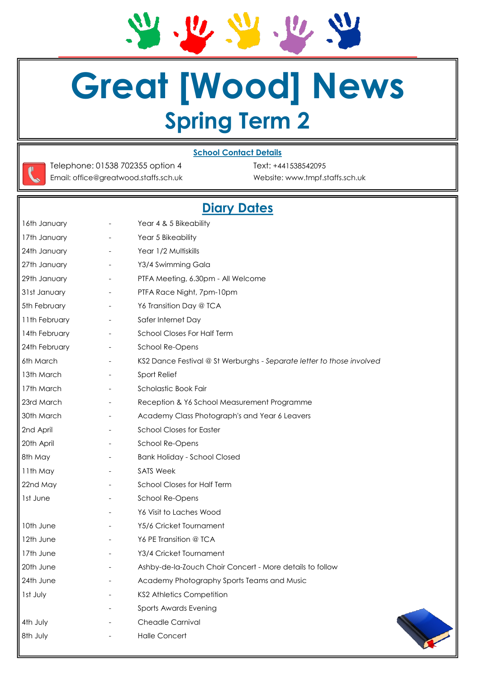$\frac{1}{2}$  $\bm{v}, \bm{v}, \bm{w}$ 

# **Great [Wood] News Spring Term 2**

#### **School Contact Details**

Telephone: 01538 702355 option 4 Text: +441538542095 Email: office@greatwood.staffs.sch.uk Website: www.tmpf.staffs.sch.uk

### **Diary Dates**

| 16th January        | $\overline{\phantom{a}}$ | Year 4 & 5 Bikeability                                                |
|---------------------|--------------------------|-----------------------------------------------------------------------|
| 17th January        | $\overline{\phantom{a}}$ | Year 5 Bikeability                                                    |
| 24th January        | $\qquad \qquad -$        | Year 1/2 Multiskills                                                  |
| 27th January        | $\overline{\phantom{a}}$ | Y3/4 Swimming Gala                                                    |
| 29th January        | $\overline{\phantom{a}}$ | PTFA Meeting, 6.30pm - All Welcome                                    |
| 31st January        | $\overline{\phantom{a}}$ | PTFA Race Night, 7pm-10pm                                             |
| 5th February        | $\overline{\phantom{a}}$ | Y6 Transition Day @ TCA                                               |
| 11th February       | $\overline{\phantom{a}}$ | Safer Internet Day                                                    |
| 14th February       | $\overline{\phantom{a}}$ | School Closes For Half Term                                           |
| 24th February       | $\overline{\phantom{a}}$ | School Re-Opens                                                       |
| 6th March           |                          | KS2 Dance Festival @ St Werburghs - Separate letter to those involved |
| 13th March          | $\overline{\phantom{a}}$ | Sport Relief                                                          |
| 17th March          | $\overline{\phantom{a}}$ | Scholastic Book Fair                                                  |
| 23rd March          | $\overline{\phantom{a}}$ | Reception & Y6 School Measurement Programme                           |
| 30th March          | $\overline{\phantom{a}}$ | Academy Class Photograph's and Year 6 Leavers                         |
| 2nd April           |                          | <b>School Closes for Easter</b>                                       |
| 20th April          | $\overline{\phantom{a}}$ | School Re-Opens                                                       |
| 8th May             |                          | <b>Bank Holiday - School Closed</b>                                   |
| 11th May            | $\overline{\phantom{a}}$ | <b>SATS Week</b>                                                      |
| 22nd May            | $\overline{\phantom{a}}$ | School Closes for Half Term                                           |
| 1st June            | $\overline{\phantom{a}}$ | School Re-Opens                                                       |
|                     | $\overline{\phantom{a}}$ | Y6 Visit to Laches Wood                                               |
| 10th June           |                          | Y5/6 Cricket Tournament                                               |
| 12th June           | $\overline{\phantom{a}}$ | Y6 PE Transition @ TCA                                                |
| 17th June           |                          | Y3/4 Cricket Tournament                                               |
| 20th June           |                          | Ashby-de-la-Zouch Choir Concert - More details to follow              |
| <b>II</b> 24th June |                          | Academy Photography Sports Teams and Music                            |
| Ist July            |                          | <b>KS2 Athletics Competition</b>                                      |
|                     |                          | Sports Awards Evening                                                 |
| 4th July            |                          | Cheadle Carnival                                                      |
| 8th July            |                          | <b>Halle Concert</b>                                                  |
|                     |                          |                                                                       |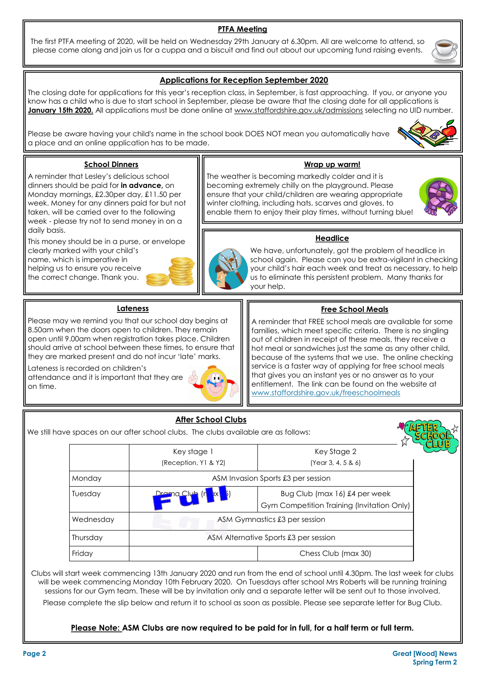#### **PTFA Meeting**

The first PTFA meeting of 2020, will be held on Wednesday 29th January at 6.30pm. All are welcome to attend, so please come along and join us for a cuppa and a biscuit and find out about our upcoming fund raising events.

#### **Applications for Reception September 2020**

The closing date for applications for this year's reception class, in September, is fast approaching. If you, or anyone you know has a child who is due to start school in September, please be aware that the closing date for all applications is January 15th 2020. All applications must be done online at www.staffordshire.gov.uk/admissions selecting no UID number.

Please be aware having your child's name in the school book DOES NOT mean you automatically have a place and an online application has to be made.

#### **School Dinners**

A reminder that Lesley's delicious school dinners should be paid for **in advance,** on Monday mornings, £2.30per day, £11.50 per week. Money for any dinners paid for but not taken, will be carried over to the following week - please try not to send money in on a daily basis.

This money should be in a purse, or envelope clearly marked with your child's name, which is imperative in helping us to ensure you receive the correct change. Thank you.



#### **Wrap up warm!**

The weather is becoming markedly colder and it is becoming extremely chilly on the playground. Please ensure that your child/children are wearing appropriate winter clothing, including hats, scarves and gloves, to enable them to enjoy their play times, without turning blue!



#### **Headlice**

We have, unfortunately, got the problem of headlice in school again. Please can you be extra-vigilant in checking your child's hair each week and treat as necessary, to help us to eliminate this persistent problem. Many thanks for your help.

#### **Lateness**

Please may we remind you that our school day begins at 8.50am when the doors open to children. They remain open until 9.00am when registration takes place. Children should arrive at school between these times, to ensure that they are marked present and do not incur 'late' marks.

Lateness is recorded on children's attendance and it is important that they are on time.



#### **Free School Meals**

A reminder that FREE school meals are available for some families, which meet specific criteria. There is no singling out of children in receipt of these meals, they receive a hot meal or sandwiches just the same as any other child, because of the systems that we use. The online checking service is a faster way of applying for free school meals that gives you an instant yes or no answer as to your entitlement. The link can be found on the website at www.staffordshire.gov.uk/freeschoolmeals

|           | <b>After School Clubs</b><br>We still have spaces on our after school clubs. The clubs available are as follows: |                                                                             |  |
|-----------|------------------------------------------------------------------------------------------------------------------|-----------------------------------------------------------------------------|--|
|           | Key stage 1<br>(Reception, Y1 & Y2)                                                                              | Key Stage 2<br>(Year 3, 4, 5 & 6)                                           |  |
| Monday    | ASM Invasion Sports £3 per session                                                                               |                                                                             |  |
| Tuesday   |                                                                                                                  | Bug Club (max 16) £4 per week<br>Gym Competition Training (Invitation Only) |  |
| Wednesday | ASM Gymnastics £3 per session                                                                                    |                                                                             |  |
| Thursday  | ASM Alternative Sports £3 per session                                                                            |                                                                             |  |
| Friday    |                                                                                                                  | Chess Club (max 30)                                                         |  |

Clubs will start week commencing 13th January 2020 and run from the end of school until 4.30pm. The last week for clubs will be week commencing Monday 10th February 2020. On Tuesdays after school Mrs Roberts will be running training sessions for our Gym team. These will be by invitation only and a separate letter will be sent out to those involved.

Please complete the slip below and return it to school as soon as possible. Please see separate letter for Bug Club.

#### **Please Note: ASM Clubs are now required to be paid for in full, for a half term or full term.**